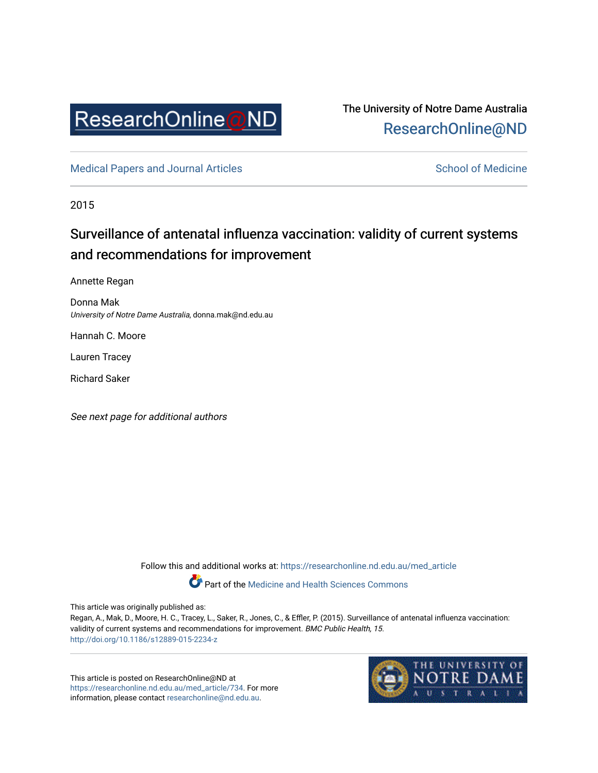

## The University of Notre Dame Australia [ResearchOnline@ND](https://researchonline.nd.edu.au/)

[Medical Papers and Journal Articles](https://researchonline.nd.edu.au/med_article) and School of Medicine

2015

## Surveillance of antenatal influenza vaccination: validity of current systems and recommendations for improvement

Annette Regan

Donna Mak University of Notre Dame Australia, donna.mak@nd.edu.au

Hannah C. Moore

Lauren Tracey

Richard Saker

See next page for additional authors

Follow this and additional works at: [https://researchonline.nd.edu.au/med\\_article](https://researchonline.nd.edu.au/med_article?utm_source=researchonline.nd.edu.au%2Fmed_article%2F734&utm_medium=PDF&utm_campaign=PDFCoverPages) 

Part of the [Medicine and Health Sciences Commons](http://network.bepress.com/hgg/discipline/648?utm_source=researchonline.nd.edu.au%2Fmed_article%2F734&utm_medium=PDF&utm_campaign=PDFCoverPages)

This article was originally published as:

Regan, A., Mak, D., Moore, H. C., Tracey, L., Saker, R., Jones, C., & Effler, P. (2015). Surveillance of antenatal influenza vaccination: validity of current systems and recommendations for improvement. BMC Public Health, 15. <http://doi.org/10.1186/s12889-015-2234-z>

This article is posted on ResearchOnline@ND at [https://researchonline.nd.edu.au/med\\_article/734](https://researchonline.nd.edu.au/med_article/734). For more information, please contact [researchonline@nd.edu.au.](mailto:researchonline@nd.edu.au)

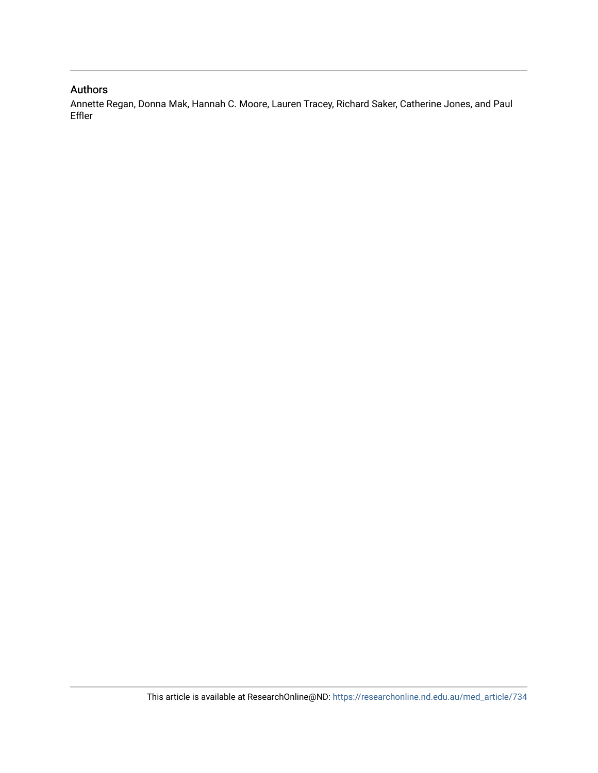### Authors

Annette Regan, Donna Mak, Hannah C. Moore, Lauren Tracey, Richard Saker, Catherine Jones, and Paul Effler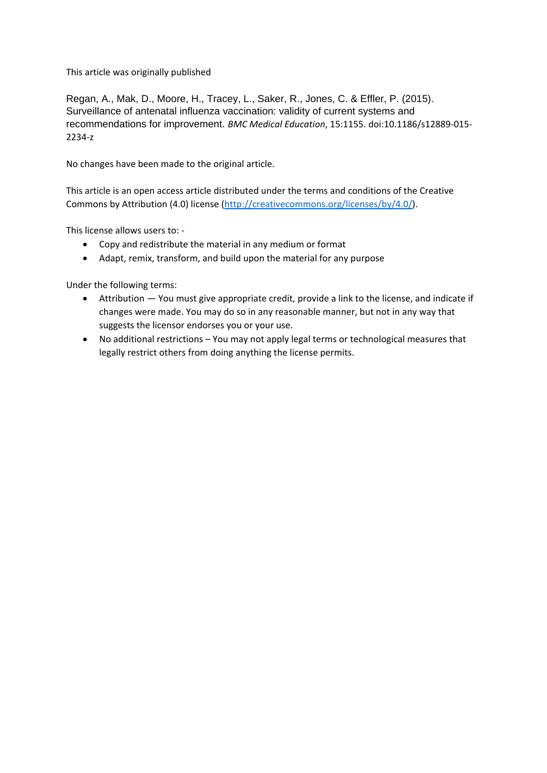This article was originally published

Regan, A., Mak, D., Moore, H., Tracey, L., Saker, R., Jones, C. & Effler, P. (2015). Surveillance of antenatal influenza vaccination: validity of current systems and recommendations for improvement. *BMC Medical Education*, 15:1155. doi:10.1186/s12889-015- 2234-z

No changes have been made to the original article.

This article is an open access article distributed under the terms and conditions of the Creative Commons by Attribution (4.0) license [\(http://creativecommons.org/licenses/by/4.0/\)](http://creativecommons.org/licenses/by/4.0/).

This license allows users to: -

- Copy and redistribute the material in any medium or format
- Adapt, remix, transform, and build upon the material for any purpose

Under the following terms:

- Attribution You must give appropriate credit, provide a link to the license, and indicate if changes were made. You may do so in any reasonable manner, but not in any way that suggests the licensor endorses you or your use.
- No additional restrictions You may not apply legal terms or technological measures that legally restrict others from doing anything the license permits.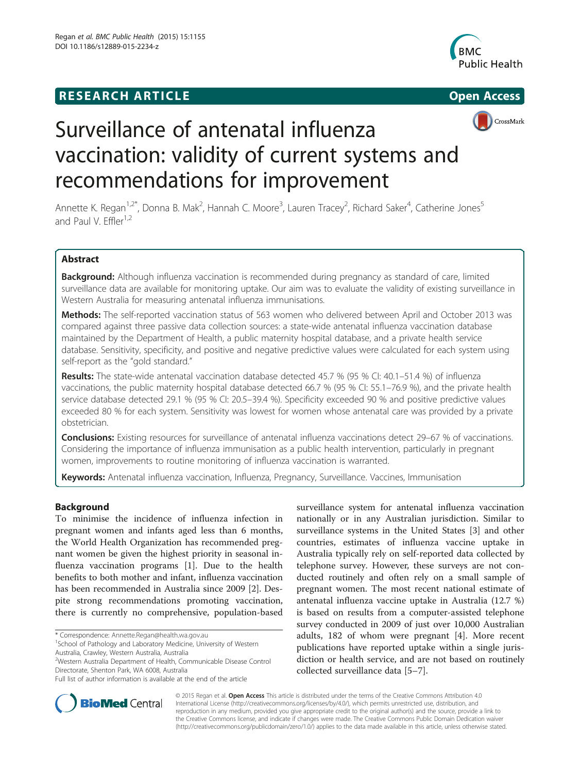### **RESEARCH ARTICLE Example 2014 CONSIDERING CONSIDERING CONSIDERING CONSIDERING CONSIDERING CONSIDERING CONSIDERING CONSIDERING CONSIDERING CONSIDERING CONSIDERING CONSIDERING CONSIDERING CONSIDERING CONSIDERING CONSIDE**





## CrossMark

# Surveillance of antenatal influenza vaccination: validity of current systems and recommendations for improvement

Annette K. Regan<sup>1,2\*</sup>, Donna B. Mak<sup>2</sup>, Hannah C. Moore<sup>3</sup>, Lauren Tracey<sup>2</sup>, Richard Saker<sup>4</sup>, Catherine Jones<sup>5</sup> and Paul V.  $Effler<sup>1,2</sup>$ 

#### Abstract

Background: Although influenza vaccination is recommended during pregnancy as standard of care, limited surveillance data are available for monitoring uptake. Our aim was to evaluate the validity of existing surveillance in Western Australia for measuring antenatal influenza immunisations.

Methods: The self-reported vaccination status of 563 women who delivered between April and October 2013 was compared against three passive data collection sources: a state-wide antenatal influenza vaccination database maintained by the Department of Health, a public maternity hospital database, and a private health service database. Sensitivity, specificity, and positive and negative predictive values were calculated for each system using self-report as the "gold standard."

Results: The state-wide antenatal vaccination database detected 45.7 % (95 % CI: 40.1–51.4 %) of influenza vaccinations, the public maternity hospital database detected 66.7 % (95 % CI: 55.1–76.9 %), and the private health service database detected 29.1 % (95 % CI: 20.5–39.4 %). Specificity exceeded 90 % and positive predictive values exceeded 80 % for each system. Sensitivity was lowest for women whose antenatal care was provided by a private obstetrician.

**Conclusions:** Existing resources for surveillance of antenatal influenza vaccinations detect 29–67 % of vaccinations. Considering the importance of influenza immunisation as a public health intervention, particularly in pregnant women, improvements to routine monitoring of influenza vaccination is warranted.

Keywords: Antenatal influenza vaccination, Influenza, Pregnancy, Surveillance. Vaccines, Immunisation

#### Background

To minimise the incidence of influenza infection in pregnant women and infants aged less than 6 months, the World Health Organization has recommended pregnant women be given the highest priority in seasonal influenza vaccination programs [[1\]](#page-9-0). Due to the health benefits to both mother and infant, influenza vaccination has been recommended in Australia since 2009 [\[2](#page-9-0)]. Despite strong recommendations promoting vaccination, there is currently no comprehensive, population-based

surveillance system for antenatal influenza vaccination nationally or in any Australian jurisdiction. Similar to surveillance systems in the United States [\[3](#page-9-0)] and other countries, estimates of influenza vaccine uptake in Australia typically rely on self-reported data collected by telephone survey. However, these surveys are not conducted routinely and often rely on a small sample of pregnant women. The most recent national estimate of antenatal influenza vaccine uptake in Australia (12.7 %) is based on results from a computer-assisted telephone survey conducted in 2009 of just over 10,000 Australian adults, 182 of whom were pregnant [\[4\]](#page-9-0). More recent publications have reported uptake within a single jurisdiction or health service, and are not based on routinely collected surveillance data [\[5](#page-9-0)–[7](#page-9-0)].



© 2015 Regan et al. Open Access This article is distributed under the terms of the Creative Commons Attribution 4.0 International License [\(http://creativecommons.org/licenses/by/4.0/](http://creativecommons.org/licenses/by/4.0/)), which permits unrestricted use, distribution, and reproduction in any medium, provided you give appropriate credit to the original author(s) and the source, provide a link to the Creative Commons license, and indicate if changes were made. The Creative Commons Public Domain Dedication waiver [\(http://creativecommons.org/publicdomain/zero/1.0/](http://creativecommons.org/publicdomain/zero/1.0/)) applies to the data made available in this article, unless otherwise stated.

<sup>\*</sup> Correspondence: [Annette.Regan@health.wa.gov.au](mailto:Annette.Regan@health.wa.gov.au) <sup>1</sup>

<sup>&</sup>lt;sup>1</sup> School of Pathology and Laboratory Medicine, University of Western Australia, Crawley, Western Australia, Australia

<sup>2</sup> Western Australia Department of Health, Communicable Disease Control

Directorate, Shenton Park, WA 6008, Australia

Full list of author information is available at the end of the article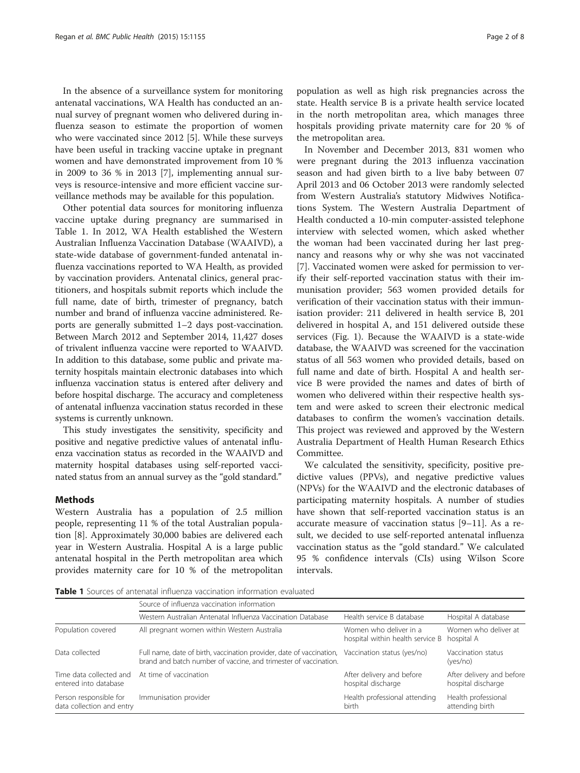In the absence of a surveillance system for monitoring antenatal vaccinations, WA Health has conducted an annual survey of pregnant women who delivered during influenza season to estimate the proportion of women who were vaccinated since 2012 [\[5\]](#page-9-0). While these surveys have been useful in tracking vaccine uptake in pregnant women and have demonstrated improvement from 10 % in 2009 to 36 % in 2013 [[7\]](#page-9-0), implementing annual surveys is resource-intensive and more efficient vaccine surveillance methods may be available for this population.

Other potential data sources for monitoring influenza vaccine uptake during pregnancy are summarised in Table 1. In 2012, WA Health established the Western Australian Influenza Vaccination Database (WAAIVD), a state-wide database of government-funded antenatal influenza vaccinations reported to WA Health, as provided by vaccination providers. Antenatal clinics, general practitioners, and hospitals submit reports which include the full name, date of birth, trimester of pregnancy, batch number and brand of influenza vaccine administered. Reports are generally submitted 1–2 days post-vaccination. Between March 2012 and September 2014, 11,427 doses of trivalent influenza vaccine were reported to WAAIVD. In addition to this database, some public and private maternity hospitals maintain electronic databases into which influenza vaccination status is entered after delivery and before hospital discharge. The accuracy and completeness of antenatal influenza vaccination status recorded in these systems is currently unknown.

This study investigates the sensitivity, specificity and positive and negative predictive values of antenatal influenza vaccination status as recorded in the WAAIVD and maternity hospital databases using self-reported vaccinated status from an annual survey as the "gold standard."

#### Methods

Western Australia has a population of 2.5 million people, representing 11 % of the total Australian population [\[8](#page-10-0)]. Approximately 30,000 babies are delivered each year in Western Australia. Hospital A is a large public antenatal hospital in the Perth metropolitan area which provides maternity care for 10 % of the metropolitan

In November and December 2013, 831 women who were pregnant during the 2013 influenza vaccination season and had given birth to a live baby between 07 April 2013 and 06 October 2013 were randomly selected from Western Australia's statutory Midwives Notifications System. The Western Australia Department of Health conducted a 10-min computer-assisted telephone interview with selected women, which asked whether the woman had been vaccinated during her last pregnancy and reasons why or why she was not vaccinated [[7\]](#page-9-0). Vaccinated women were asked for permission to verify their self-reported vaccination status with their immunisation provider; 563 women provided details for verification of their vaccination status with their immunisation provider: 211 delivered in health service B, 201 delivered in hospital A, and 151 delivered outside these services (Fig. [1\)](#page-5-0). Because the WAAIVD is a state-wide database, the WAAIVD was screened for the vaccination status of all 563 women who provided details, based on full name and date of birth. Hospital A and health service B were provided the names and dates of birth of women who delivered within their respective health system and were asked to screen their electronic medical databases to confirm the women's vaccination details. This project was reviewed and approved by the Western Australia Department of Health Human Research Ethics Committee.

We calculated the sensitivity, specificity, positive predictive values (PPVs), and negative predictive values (NPVs) for the WAAIVD and the electronic databases of participating maternity hospitals. A number of studies have shown that self-reported vaccination status is an accurate measure of vaccination status [\[9](#page-10-0)–[11\]](#page-10-0). As a result, we decided to use self-reported antenatal influenza vaccination status as the "gold standard." We calculated 95 % confidence intervals (CIs) using Wilson Score intervals.

**Table 1** Sources of antenatal influenza vaccination information evaluated

|                                                                         | Source of influenza vaccination information                                                                                                                          |                                                            |                                                 |  |  |  |
|-------------------------------------------------------------------------|----------------------------------------------------------------------------------------------------------------------------------------------------------------------|------------------------------------------------------------|-------------------------------------------------|--|--|--|
|                                                                         | Western Australian Antenatal Influenza Vaccination Database                                                                                                          | Health service B database                                  | Hospital A database                             |  |  |  |
| Population covered                                                      | All pregnant women within Western Australia                                                                                                                          | Women who deliver in a<br>hospital within health service B | Women who deliver at<br>hospital A              |  |  |  |
| Data collected                                                          | Full name, date of birth, vaccination provider, date of vaccination, Vaccination status (yes/no)<br>brand and batch number of vaccine, and trimester of vaccination. |                                                            | Vaccination status<br>(yes/no)                  |  |  |  |
| Time data collected and At time of vaccination<br>entered into database |                                                                                                                                                                      | After delivery and before<br>hospital discharge            | After delivery and before<br>hospital discharge |  |  |  |
| Person responsible for<br>data collection and entry                     | Immunisation provider                                                                                                                                                | Health professional attending<br>birth                     | Health professional<br>attending birth          |  |  |  |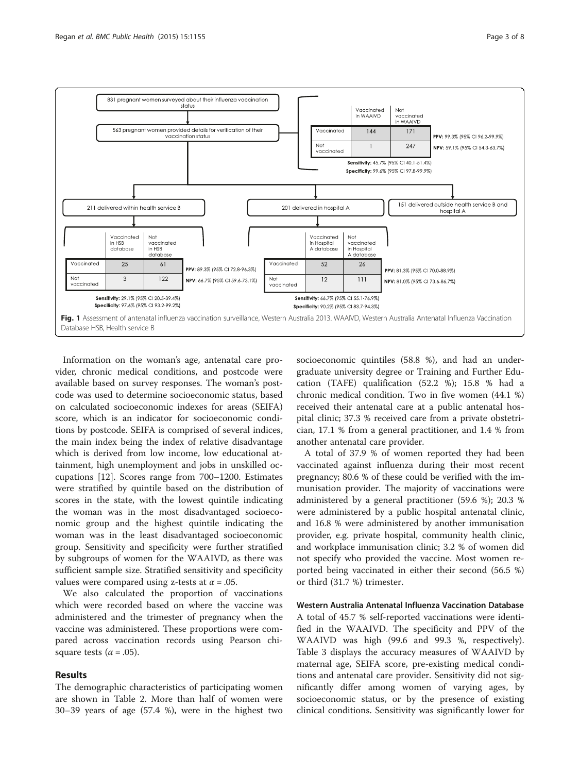<span id="page-5-0"></span>

Information on the woman's age, antenatal care provider, chronic medical conditions, and postcode were available based on survey responses. The woman's postcode was used to determine socioeconomic status, based on calculated socioeconomic indexes for areas (SEIFA) score, which is an indicator for socioeconomic conditions by postcode. SEIFA is comprised of several indices, the main index being the index of relative disadvantage which is derived from low income, low educational attainment, high unemployment and jobs in unskilled occupations [[12](#page-10-0)]. Scores range from 700–1200. Estimates were stratified by quintile based on the distribution of scores in the state, with the lowest quintile indicating the woman was in the most disadvantaged socioeconomic group and the highest quintile indicating the woman was in the least disadvantaged socioeconomic group. Sensitivity and specificity were further stratified by subgroups of women for the WAAIVD, as there was sufficient sample size. Stratified sensitivity and specificity values were compared using z-tests at  $\alpha = .05$ .

We also calculated the proportion of vaccinations which were recorded based on where the vaccine was administered and the trimester of pregnancy when the vaccine was administered. These proportions were compared across vaccination records using Pearson chisquare tests ( $\alpha$  = .05).

#### Results

The demographic characteristics of participating women are shown in Table [2.](#page-6-0) More than half of women were 30–39 years of age (57.4 %), were in the highest two socioeconomic quintiles (58.8 %), and had an undergraduate university degree or Training and Further Education (TAFE) qualification (52.2 %); 15.8 % had a chronic medical condition. Two in five women (44.1 %) received their antenatal care at a public antenatal hospital clinic; 37.3 % received care from a private obstetrician, 17.1 % from a general practitioner, and 1.4 % from another antenatal care provider.

A total of 37.9 % of women reported they had been vaccinated against influenza during their most recent pregnancy; 80.6 % of these could be verified with the immunisation provider. The majority of vaccinations were administered by a general practitioner (59.6 %); 20.3 % were administered by a public hospital antenatal clinic, and 16.8 % were administered by another immunisation provider, e.g. private hospital, community health clinic, and workplace immunisation clinic; 3.2 % of women did not specify who provided the vaccine. Most women reported being vaccinated in either their second (56.5 %) or third (31.7 %) trimester.

Western Australia Antenatal Influenza Vaccination Database A total of 45.7 % self-reported vaccinations were identified in the WAAIVD. The specificity and PPV of the WAAIVD was high (99.6 and 99.3 %, respectively). Table [3](#page-7-0) displays the accuracy measures of WAAIVD by maternal age, SEIFA score, pre-existing medical conditions and antenatal care provider. Sensitivity did not significantly differ among women of varying ages, by socioeconomic status, or by the presence of existing clinical conditions. Sensitivity was significantly lower for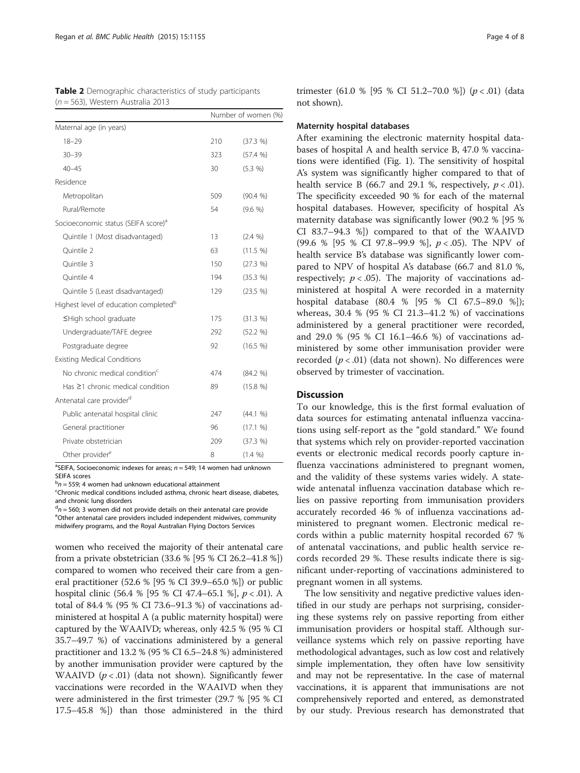| $(n = 563)$ , Western Australia 2013              |     |                     |
|---------------------------------------------------|-----|---------------------|
|                                                   |     | Number of women (%) |
| Maternal age (in years)                           |     |                     |
| $18 - 29$                                         | 210 | (37.3 %)            |
| $30 - 39$                                         | 323 | (57.4 %)            |
| $40 - 45$                                         | 30  | (5.3 %)             |
| Residence                                         |     |                     |
| Metropolitan                                      | 509 | (90.4 %)            |
| Rural/Remote                                      | 54  | (9.6 %)             |
| Socioeconomic status (SEIFA score) <sup>a</sup>   |     |                     |
| Quintile 1 (Most disadvantaged)                   | 13  | (2.4 %)             |
| Ouintile 2                                        | 63  | (11.5 %)            |
| Quintile 3                                        | 150 | (27.3 %)            |
| Ouintile 4                                        | 194 | (35.3 %)            |
| Quintile 5 (Least disadvantaged)                  | 129 | (23.5 %)            |
| Highest level of education completed <sup>b</sup> |     |                     |
| ≤High school graduate                             | 175 | (31.3 %)            |
| Undergraduate/TAFE degree                         | 292 | (52.2 %)            |
| Postgraduate degree                               | 92  | (16.5 %)            |
| <b>Existing Medical Conditions</b>                |     |                     |
| No chronic medical condition <sup>c</sup>         | 474 | (84.2 %)            |
| Has $\geq$ 1 chronic medical condition            | 89  | (15.8 %)            |
| Antenatal care provider <sup>d</sup>              |     |                     |
| Public antenatal hospital clinic                  | 247 | (44.1 %)            |
| General practitioner                              | 96  | (17.1 %)            |
| Private obstetrician                              | 209 | (37.3 %)            |
| Other provider <sup>e</sup>                       | 8   | (1.4 %)             |

<span id="page-6-0"></span>Table 2 Demographic characteristics of study participants

<sup>a</sup>SEIFA, Socioeconomic indexes for areas;  $n = 549$ ; 14 women had unknown SEIFA scores

 $b_n = 559$ ; 4 women had unknown educational attainment chronic medical conditions included asthma chronic here

Chronic medical conditions included asthma, chronic heart disease, diabetes, and chronic lung disorders

 $d_{n} = 560$ ; 3 women did not provide details on their antenatal care provide<br> $e^{i}$ Other antenatal care providers included independent midwives, community

Other antenatal care providers included independent midwives, community midwifery programs, and the Royal Australian Flying Doctors Services

women who received the majority of their antenatal care from a private obstetrician (33.6 % [95 % CI 26.2–41.8 %]) compared to women who received their care from a general practitioner (52.6 % [95 % CI 39.9–65.0 %]) or public hospital clinic  $(56.4 % [95 % CI 47.4–65.1 %], p < .01$ ). A total of 84.4 % (95 % CI 73.6–91.3 %) of vaccinations administered at hospital A (a public maternity hospital) were captured by the WAAIVD; whereas, only 42.5 % (95 % CI 35.7–49.7 %) of vaccinations administered by a general practitioner and 13.2 % (95 % CI 6.5–24.8 %) administered by another immunisation provider were captured by the WAAIVD  $(p < .01)$  (data not shown). Significantly fewer vaccinations were recorded in the WAAIVD when they were administered in the first trimester (29.7 % [95 % CI 17.5–45.8 %]) than those administered in the third trimester (61.0 % [95 % CI 51.2–70.0 %])  $(p < .01)$  (data not shown).

#### Maternity hospital databases

After examining the electronic maternity hospital databases of hospital A and health service B, 47.0 % vaccinations were identified (Fig. [1\)](#page-5-0). The sensitivity of hospital A's system was significantly higher compared to that of health service B (66.7 and 29.1 %, respectively,  $p < .01$ ). The specificity exceeded 90 % for each of the maternal hospital databases. However, specificity of hospital A's maternity database was significantly lower (90.2 % [95 % CI 83.7–94.3 %]) compared to that of the WAAIVD (99.6 % [95 % CI 97.8–99.9 %], p < .05). The NPV of health service B's database was significantly lower compared to NPV of hospital A's database (66.7 and 81.0 %, respectively;  $p < .05$ ). The majority of vaccinations administered at hospital A were recorded in a maternity hospital database (80.4 % [95 % CI 67.5–89.0 %]); whereas, 30.4 % (95 % CI 21.3–41.2 %) of vaccinations administered by a general practitioner were recorded, and 29.0 % (95 % CI 16.1–46.6 %) of vaccinations administered by some other immunisation provider were recorded  $(p < .01)$  (data not shown). No differences were observed by trimester of vaccination.

#### **Discussion**

To our knowledge, this is the first formal evaluation of data sources for estimating antenatal influenza vaccinations using self-report as the "gold standard." We found that systems which rely on provider-reported vaccination events or electronic medical records poorly capture influenza vaccinations administered to pregnant women, and the validity of these systems varies widely. A statewide antenatal influenza vaccination database which relies on passive reporting from immunisation providers accurately recorded 46 % of influenza vaccinations administered to pregnant women. Electronic medical records within a public maternity hospital recorded 67 % of antenatal vaccinations, and public health service records recorded 29 %. These results indicate there is significant under-reporting of vaccinations administered to pregnant women in all systems.

The low sensitivity and negative predictive values identified in our study are perhaps not surprising, considering these systems rely on passive reporting from either immunisation providers or hospital staff. Although surveillance systems which rely on passive reporting have methodological advantages, such as low cost and relatively simple implementation, they often have low sensitivity and may not be representative. In the case of maternal vaccinations, it is apparent that immunisations are not comprehensively reported and entered, as demonstrated by our study. Previous research has demonstrated that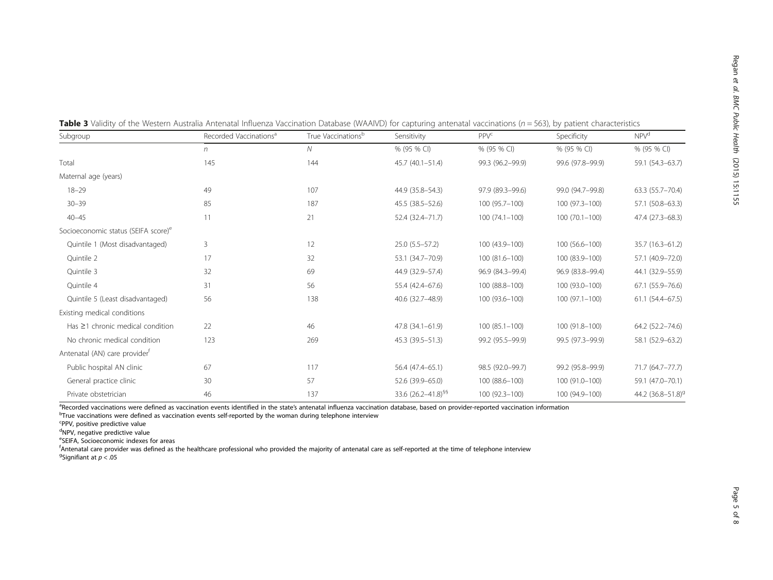| Subgroup                                        | Recorded Vaccinations <sup>a</sup> | True Vaccinationsb | Sensitivity                    | PPV <sup>c</sup>  | Specificity       | NPV <sup>d</sup>              |
|-------------------------------------------------|------------------------------------|--------------------|--------------------------------|-------------------|-------------------|-------------------------------|
|                                                 | n                                  | N                  | % (95 % CI)                    | % (95 % CI)       | % (95 % CI)       | % (95 % CI)                   |
| Total                                           | 145                                | 144                | 45.7 (40.1-51.4)               | 99.3 (96.2-99.9)  | 99.6 (97.8-99.9)  | 59.1 (54.3-63.7)              |
| Maternal age (years)                            |                                    |                    |                                |                   |                   |                               |
| $18 - 29$                                       | 49                                 | 107                | 44.9 (35.8-54.3)               | 97.9 (89.3-99.6)  | 99.0 (94.7-99.8)  | 63.3 (55.7-70.4)              |
| $30 - 39$                                       | 85                                 | 187                | 45.5 (38.5 - 52.6)             | 100 (95.7-100)    | 100 (97.3-100)    | 57.1 (50.8-63.3)              |
| $40 - 45$                                       | 11                                 | 21                 | 52.4 (32.4-71.7)               | $100(74.1 - 100)$ | $100(70.1 - 100)$ | 47.4 (27.3-68.3)              |
| Socioeconomic status (SEIFA score) <sup>e</sup> |                                    |                    |                                |                   |                   |                               |
| Quintile 1 (Most disadvantaged)                 | 3                                  | 12                 | $25.0(5.5-57.2)$               | 100 (43.9-100)    | 100 (56.6-100)    | 35.7 (16.3-61.2)              |
| Quintile 2                                      | 17                                 | 32                 | 53.1 (34.7-70.9)               | 100 (81.6-100)    | 100 (83.9-100)    | 57.1 (40.9-72.0)              |
| Quintile 3                                      | 32                                 | 69                 | 44.9 (32.9-57.4)               | 96.9 (84.3-99.4)  | 96.9 (83.8-99.4)  | 44.1 (32.9-55.9)              |
| Quintile 4                                      | 31                                 | 56                 | 55.4 (42.4–67.6)               | 100 (88.8-100)    | 100 (93.0-100)    | $67.1(55.9 - 76.6)$           |
| Quintile 5 (Least disadvantaged)                | 56                                 | 138                | 40.6 (32.7-48.9)               | 100 (93.6-100)    | $100(97.1 - 100)$ | $61.1(54.4 - 67.5)$           |
| Existing medical conditions                     |                                    |                    |                                |                   |                   |                               |
| Has ≥1 chronic medical condition                | 22                                 | 46                 | 47.8 (34.1-61.9)               | $100(85.1 - 100)$ | 100 (91.8-100)    | 64.2 (52.2-74.6)              |
| No chronic medical condition                    | 123                                | 269                | 45.3 (39.5 - 51.3)             | 99.2 (95.5-99.9)  | 99.5 (97.3-99.9)  | 58.1 (52.9-63.2)              |
| Antenatal (AN) care provider <sup>f</sup>       |                                    |                    |                                |                   |                   |                               |
| Public hospital AN clinic                       | 67                                 | 117                | 56.4 (47.4-65.1)               | 98.5 (92.0-99.7)  | 99.2 (95.8-99.9)  | 71.7 (64.7-77.7)              |
| General practice clinic                         | 30                                 | 57                 | 52.6 (39.9 - 65.0)             | 100 (88.6-100)    | 100 (91.0-100)    | 59.1 (47.0-70.1)              |
| Private obstetrician                            | 46                                 | 137                | 33.6 (26.2-41.8) <sup>§§</sup> | 100 (92.3-100)    | 100 (94.9-100)    | 44.2 (36.8-51.8) <sup>9</sup> |

<span id="page-7-0"></span>

| <b>Table 3</b> Validity of the Western Australia Antenatal Influenza Vaccination Database (WAAIVD) for capturing antenatal vaccinations ( $n = 563$ ), by patient characteristics |  |  |  |  |
|-----------------------------------------------------------------------------------------------------------------------------------------------------------------------------------|--|--|--|--|
|-----------------------------------------------------------------------------------------------------------------------------------------------------------------------------------|--|--|--|--|

a<br>Personded vaccinations were defined as vaccination events identified in the state's antenatal influenza vaccination database, based on provider-reported vaccination information<br>PTrue vaccinations were defined as vaccinat

<sup>b</sup>True vaccinations were defined as vaccination events self-reported by the woman during telephone interview

<sup>c</sup>PPV, positive predictive value

<sup>d</sup>NPV, negative predictive value

e SEIFA, Socioeconomic indexes for areas

fAntenatal care provider was defined as the healthcare professional who provided the majority of antenatal care as self-reported at the time of telephone interview<br><sup>gc</sup>ionifiant at n < 05 <sup>9</sup>Signifiant at  $p < .05$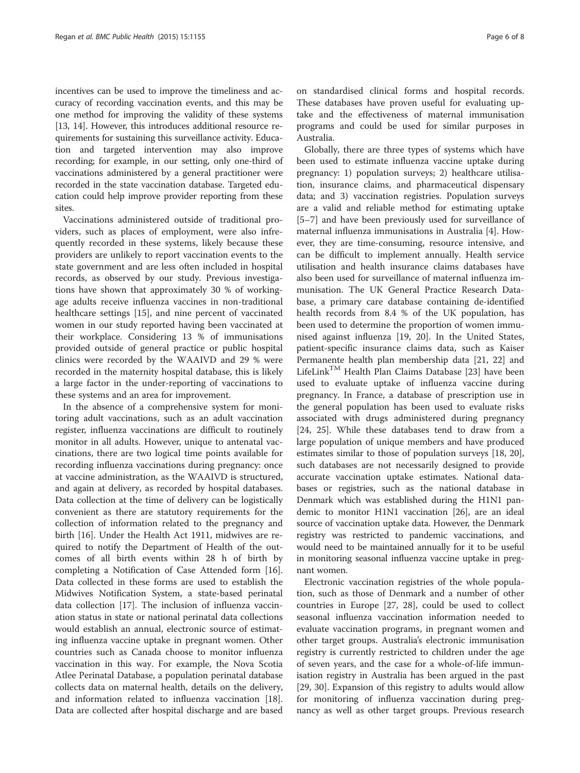incentives can be used to improve the timeliness and accuracy of recording vaccination events, and this may be one method for improving the validity of these systems [[13](#page-10-0), [14\]](#page-10-0). However, this introduces additional resource requirements for sustaining this surveillance activity. Education and targeted intervention may also improve recording; for example, in our setting, only one-third of vaccinations administered by a general practitioner were recorded in the state vaccination database. Targeted education could help improve provider reporting from these sites.

Vaccinations administered outside of traditional providers, such as places of employment, were also infrequently recorded in these systems, likely because these providers are unlikely to report vaccination events to the state government and are less often included in hospital records, as observed by our study. Previous investigations have shown that approximately 30 % of workingage adults receive influenza vaccines in non-traditional healthcare settings [[15\]](#page-10-0), and nine percent of vaccinated women in our study reported having been vaccinated at their workplace. Considering 13 % of immunisations provided outside of general practice or public hospital clinics were recorded by the WAAIVD and 29 % were recorded in the maternity hospital database, this is likely a large factor in the under-reporting of vaccinations to these systems and an area for improvement.

In the absence of a comprehensive system for monitoring adult vaccinations, such as an adult vaccination register, influenza vaccinations are difficult to routinely monitor in all adults. However, unique to antenatal vaccinations, there are two logical time points available for recording influenza vaccinations during pregnancy: once at vaccine administration, as the WAAIVD is structured, and again at delivery, as recorded by hospital databases. Data collection at the time of delivery can be logistically convenient as there are statutory requirements for the collection of information related to the pregnancy and birth [\[16\]](#page-10-0). Under the Health Act 1911, midwives are required to notify the Department of Health of the outcomes of all birth events within 28 h of birth by completing a Notification of Case Attended form [\[16](#page-10-0)]. Data collected in these forms are used to establish the Midwives Notification System, a state-based perinatal data collection [[17](#page-10-0)]. The inclusion of influenza vaccination status in state or national perinatal data collections would establish an annual, electronic source of estimating influenza vaccine uptake in pregnant women. Other countries such as Canada choose to monitor influenza vaccination in this way. For example, the Nova Scotia Atlee Perinatal Database, a population perinatal database collects data on maternal health, details on the delivery, and information related to influenza vaccination [\[18](#page-10-0)]. Data are collected after hospital discharge and are based

on standardised clinical forms and hospital records. These databases have proven useful for evaluating uptake and the effectiveness of maternal immunisation programs and could be used for similar purposes in Australia.

Globally, there are three types of systems which have been used to estimate influenza vaccine uptake during pregnancy: 1) population surveys; 2) healthcare utilisation, insurance claims, and pharmaceutical dispensary data; and 3) vaccination registries. Population surveys are a valid and reliable method for estimating uptake [[5](#page-9-0)–[7\]](#page-9-0) and have been previously used for surveillance of maternal influenza immunisations in Australia [\[4](#page-9-0)]. However, they are time-consuming, resource intensive, and can be difficult to implement annually. Health service utilisation and health insurance claims databases have also been used for surveillance of maternal influenza immunisation. The UK General Practice Research Database, a primary care database containing de-identified health records from 8.4 % of the UK population, has been used to determine the proportion of women immunised against influenza [\[19](#page-10-0), [20](#page-10-0)]. In the United States, patient-specific insurance claims data, such as Kaiser Permanente health plan membership data [[21, 22\]](#page-10-0) and LifeLink<sup>TM</sup> Health Plan Claims Database [[23\]](#page-10-0) have been used to evaluate uptake of influenza vaccine during pregnancy. In France, a database of prescription use in the general population has been used to evaluate risks associated with drugs administered during pregnancy [[24, 25\]](#page-10-0). While these databases tend to draw from a large population of unique members and have produced estimates similar to those of population surveys [\[18](#page-10-0), [20](#page-10-0)], such databases are not necessarily designed to provide accurate vaccination uptake estimates. National databases or registries, such as the national database in Denmark which was established during the H1N1 pandemic to monitor H1N1 vaccination [\[26\]](#page-10-0), are an ideal source of vaccination uptake data. However, the Denmark registry was restricted to pandemic vaccinations, and would need to be maintained annually for it to be useful in monitoring seasonal influenza vaccine uptake in pregnant women.

Electronic vaccination registries of the whole population, such as those of Denmark and a number of other countries in Europe [\[27, 28\]](#page-10-0), could be used to collect seasonal influenza vaccination information needed to evaluate vaccination programs, in pregnant women and other target groups. Australia's electronic immunisation registry is currently restricted to children under the age of seven years, and the case for a whole-of-life immunisation registry in Australia has been argued in the past [[29, 30\]](#page-10-0). Expansion of this registry to adults would allow for monitoring of influenza vaccination during pregnancy as well as other target groups. Previous research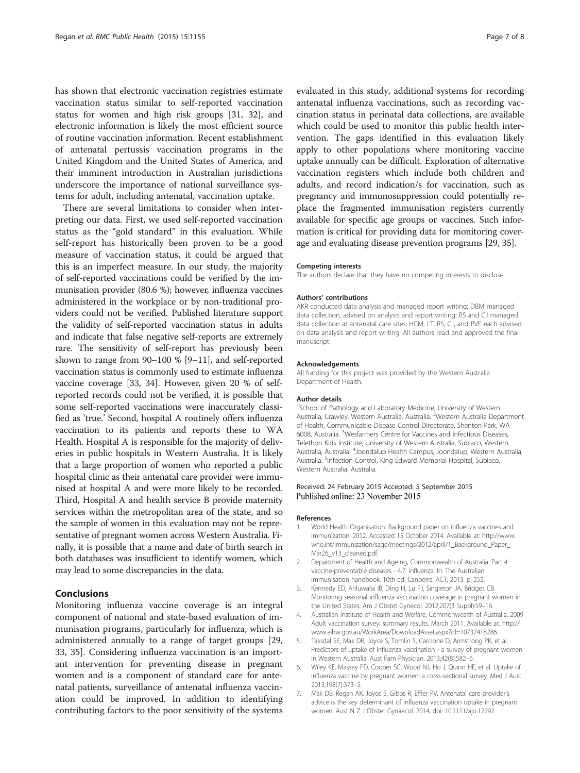<span id="page-9-0"></span>has shown that electronic vaccination registries estimate vaccination status similar to self-reported vaccination status for women and high risk groups [[31, 32\]](#page-10-0), and electronic information is likely the most efficient source of routine vaccination information. Recent establishment of antenatal pertussis vaccination programs in the United Kingdom and the United States of America, and their imminent introduction in Australian jurisdictions underscore the importance of national surveillance systems for adult, including antenatal, vaccination uptake.

There are several limitations to consider when interpreting our data. First, we used self-reported vaccination status as the "gold standard" in this evaluation. While self-report has historically been proven to be a good measure of vaccination status, it could be argued that this is an imperfect measure. In our study, the majority of self-reported vaccinations could be verified by the immunisation provider (80.6 %); however, influenza vaccines administered in the workplace or by non-traditional providers could not be verified. Published literature support the validity of self-reported vaccination status in adults and indicate that false negative self-reports are extremely rare. The sensitivity of self-report has previously been shown to range from 90–100 % [[9](#page-10-0)–[11\]](#page-10-0), and self-reported vaccination status is commonly used to estimate influenza vaccine coverage [\[33, 34\]](#page-10-0). However, given 20 % of selfreported records could not be verified, it is possible that some self-reported vaccinations were inaccurately classified as 'true.' Second, hospital A routinely offers influenza vaccination to its patients and reports these to WA Health. Hospital A is responsible for the majority of deliveries in public hospitals in Western Australia. It is likely that a large proportion of women who reported a public hospital clinic as their antenatal care provider were immunised at hospital A and were more likely to be recorded. Third, Hospital A and health service B provide maternity services within the metropolitan area of the state, and so the sample of women in this evaluation may not be representative of pregnant women across Western Australia. Finally, it is possible that a name and date of birth search in both databases was insufficient to identify women, which may lead to some discrepancies in the data.

#### Conclusions

Monitoring influenza vaccine coverage is an integral component of national and state-based evaluation of immunisation programs, particularly for influenza, which is administered annually to a range of target groups [[29](#page-10-0), [33, 35](#page-10-0)]. Considering influenza vaccination is an important intervention for preventing disease in pregnant women and is a component of standard care for antenatal patients, surveillance of antenatal influenza vaccination could be improved. In addition to identifying contributing factors to the poor sensitivity of the systems evaluated in this study, additional systems for recording antenatal influenza vaccinations, such as recording vaccination status in perinatal data collections, are available which could be used to monitor this public health intervention. The gaps identified in this evaluation likely apply to other populations where monitoring vaccine uptake annually can be difficult. Exploration of alternative vaccination registers which include both children and adults, and record indication/s for vaccination, such as pregnancy and immunosuppression could potentially replace the fragmented immunisation registers currently available for specific age groups or vaccines. Such information is critical for providing data for monitoring coverage and evaluating disease prevention programs [\[29](#page-10-0), [35](#page-10-0)].

#### Competing interests

The authors declare that they have no competing interests to disclose.

#### Authors' contributions

AKR conducted data analysis and managed report writing; DBM managed data collection, advised on analysis and report writing; RS and CJ managed data collection at antenatal care sites; HCM, LT, RS, CJ, and PVE each advised on data analysis and report writing. All authors read and approved the final manuscript.

#### Acknowledgements

All funding for this project was provided by the Western Australia Department of Health.

#### Author details

<sup>1</sup>School of Pathology and Laboratory Medicine, University of Western Australia, Crawley, Western Australia, Australia. <sup>2</sup>Western Australia Department of Health, Communicable Disease Control Directorate, Shenton Park, WA 6008, Australia. <sup>3</sup>Wesfarmers Centre for Vaccines and Infectious Diseases Telethon Kids Institute, University of Western Australia, Subiaco, Western Australia, Australia. <sup>4</sup>Joondalup Health Campus, Joondalup, Western Australia, Australia. <sup>5</sup>Infection Control, King Edward Memorial Hospital, Subiaco, Western Australia, Australia.

#### Received: 24 February 2015 Accepted: 5 September 2015 Published online: 23 November 2015

#### References

- 1. World Health Organisation. Background paper on influenza vaccines and immunization. 2012. Accessed 15 October 2014. Available at: [http://www.](http://www.who.int/immunization/sage/meetings/2012/april/1_Background_Paper_Mar26_v13_cleaned.pdf) [who.int/immunization/sage/meetings/2012/april/1\\_Background\\_Paper\\_](http://www.who.int/immunization/sage/meetings/2012/april/1_Background_Paper_Mar26_v13_cleaned.pdf) [Mar26\\_v13\\_cleaned.pdf](http://www.who.int/immunization/sage/meetings/2012/april/1_Background_Paper_Mar26_v13_cleaned.pdf).
- 2. Department of Health and Ageing, Commonwealth of Australia. Part 4: vaccine-preventable diseases - 4.7: influenza. In: The Australian immunisation handbook. 10th ed. Canberra: ACT; 2013. p. 252.
- 3. Kennedy ED, Ahluwalia IB, Ding H, Lu PJ, Singleton JA, Bridges CB. Monitoring seasonal influenza vaccination coverage in pregnant women in the United States. Am J Obstet Gynecol. 2012;207(3 Suppl):S9–16.
- 4. Australian Institute of Health and Welfare, Commonwealth of Australia. 2009 Adult vaccination survey: summary results. March 2011. Available at: [http://](http://www.aihw.gov.au/WorkArea/DownloadAsset.aspx?id=10737418286) [www.aihw.gov.au/WorkArea/DownloadAsset.aspx?id=10737418286](http://www.aihw.gov.au/WorkArea/DownloadAsset.aspx?id=10737418286).
- Taksdal SE, Mak DB, Joyce S, Tomlin S, Carcione D, Armstrong PK, et al. Predictors of uptake of influenza vaccination - a survey of pregnant women in Western Australia. Aust Fam Physician. 2013;42(8):582–6.
- 6. Wiley KE, Massey PD, Cooper SC, Wood NJ, Ho J, Quinn HE, et al. Uptake of influenza vaccine by pregnant women: a cross-sectional survey. Med J Aust. 2013;198(7):373–5.
- 7. Mak DB, Regan AK, Joyce S, Gibbs R, Effler PV. Antenatal care provider's advice is the key determinant of influenza vaccination uptake in pregnant women. Aust N Z J Obstet Gynaecol. 2014, doi: 10.1111/ajo.12292.